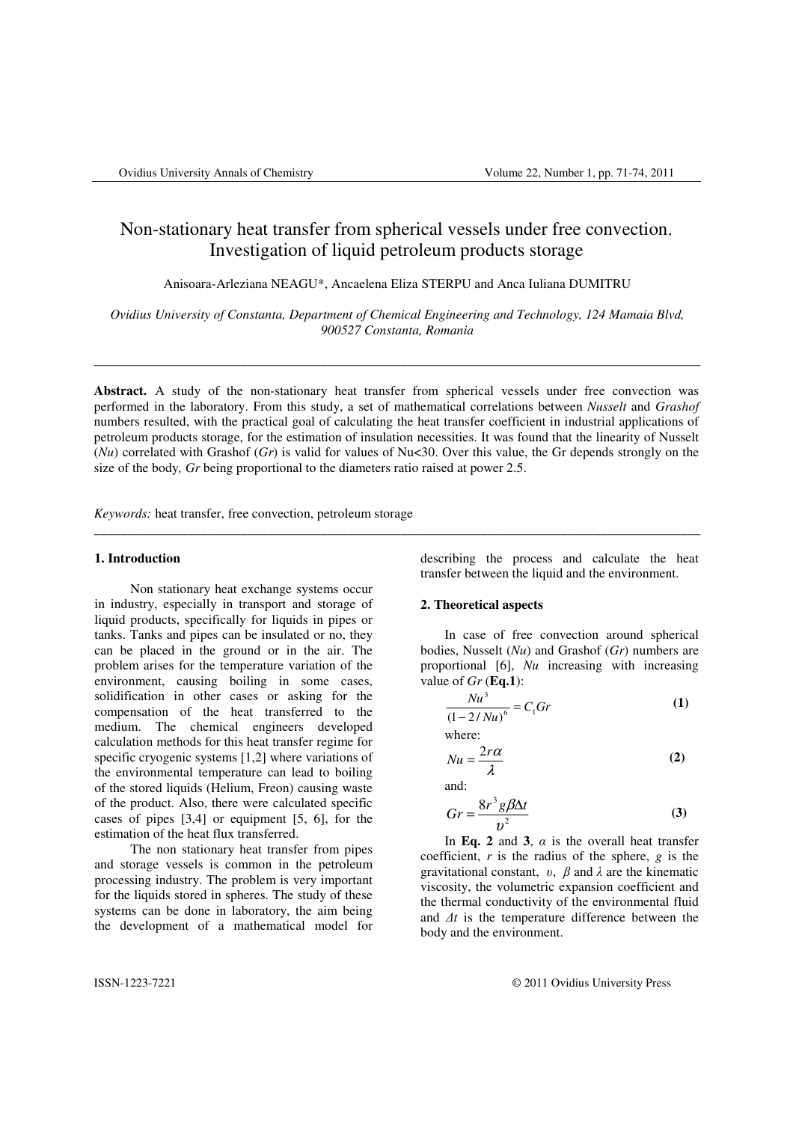# Non-stationary heat transfer from spherical vessels under free convection. Investigation of liquid petroleum products storage

Anisoara-Arleziana NEAGU\*, Ancaelena Eliza STERPU and Anca Iuliana DUMITRU

*Ovidius University of Constanta, Department of Chemical Engineering and Technology, 124 Mamaia Blvd, 900527 Constanta, Romania* 

\_\_\_\_\_\_\_\_\_\_\_\_\_\_\_\_\_\_\_\_\_\_\_\_\_\_\_\_\_\_\_\_\_\_\_\_\_\_\_\_\_\_\_\_\_\_\_\_\_\_\_\_\_\_\_\_\_\_\_\_\_\_\_\_\_\_\_\_\_\_\_\_\_\_\_\_\_\_\_\_\_\_\_\_\_\_\_\_\_\_\_

**Abstract.** A study of the non-stationary heat transfer from spherical vessels under free convection was performed in the laboratory. From this study, a set of mathematical correlations between *Nusselt* and *Grashof* numbers resulted, with the practical goal of calculating the heat transfer coefficient in industrial applications of petroleum products storage, for the estimation of insulation necessities. It was found that the linearity of Nusselt (*Nu*) correlated with Grashof (*Gr*) is valid for values of Nu<30. Over this value, the Gr depends strongly on the size of the body*, Gr* being proportional to the diameters ratio raised at power 2.5.

\_\_\_\_\_\_\_\_\_\_\_\_\_\_\_\_\_\_\_\_\_\_\_\_\_\_\_\_\_\_\_\_\_\_\_\_\_\_\_\_\_\_\_\_\_\_\_\_\_\_\_\_\_\_\_\_\_\_\_\_\_\_\_\_\_\_\_\_\_\_\_\_\_\_\_\_\_\_\_\_\_\_\_\_\_\_\_\_\_\_\_

*Keywords:* heat transfer, free convection, petroleum storage

#### **1. Introduction**

Non stationary heat exchange systems occur in industry, especially in transport and storage of liquid products, specifically for liquids in pipes or tanks. Tanks and pipes can be insulated or no, they can be placed in the ground or in the air. The problem arises for the temperature variation of the environment, causing boiling in some cases, solidification in other cases or asking for the compensation of the heat transferred to the medium. The chemical engineers developed calculation methods for this heat transfer regime for specific cryogenic systems [1,2] where variations of the environmental temperature can lead to boiling of the stored liquids (Helium, Freon) causing waste of the product. Also, there were calculated specific cases of pipes [3,4] or equipment [5, 6], for the estimation of the heat flux transferred.

The non stationary heat transfer from pipes and storage vessels is common in the petroleum processing industry. The problem is very important for the liquids stored in spheres. The study of these systems can be done in laboratory, the aim being the development of a mathematical model for

describing the process and calculate the heat transfer between the liquid and the environment.

#### **2. Theoretical aspects**

In case of free convection around spherical bodies, Nusselt (*Nu*) and Grashof (*Gr*) numbers are proportional [6], *Nu* increasing with increasing value of *Gr* (**Eq.1**):

$$
\frac{Nu^3}{(1-2/Nu)^6} = C_1Gr
$$
 (1)

where:

$$
Nu = \frac{2r\alpha}{\lambda} \tag{2}
$$

and:

$$
Gr = \frac{8r^3g\beta\Delta t}{v^2}
$$
 (3)

In **Eq. 2** and 3,  $\alpha$  is the overall heat transfer coefficient, *r* is the radius of the sphere, *g* is the gravitational constant,  $v$ ,  $\beta$  and  $\lambda$  are the kinematic viscosity, the volumetric expansion coefficient and the thermal conductivity of the environmental fluid and ∆*t* is the temperature difference between the body and the environment.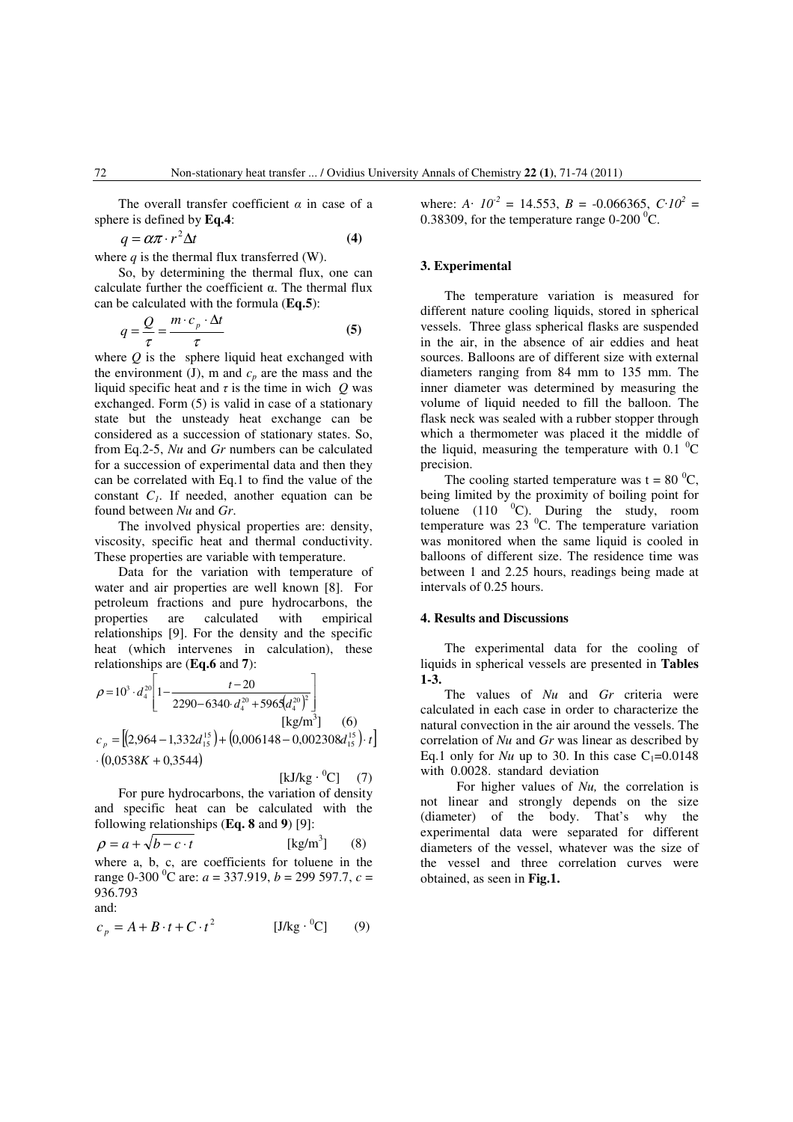The overall transfer coefficient  $\alpha$  in case of a sphere is defined by **Eq.4**:

$$
q = \alpha \pi \cdot r^2 \Delta t \tag{4}
$$

where  $q$  is the thermal flux transferred (W).

So, by determining the thermal flux, one can calculate further the coefficient  $\alpha$ . The thermal flux can be calculated with the formula (**Eq.5**):

$$
q = \frac{Q}{\tau} = \frac{m \cdot c_p \cdot \Delta t}{\tau}
$$
 (5)

where *Q* is the sphere liquid heat exchanged with the environment (J), m and  $c_p$  are the mass and the liquid specific heat and  $\tau$  is the time in wich  $Q$  was exchanged. Form (5) is valid in case of a stationary state but the unsteady heat exchange can be considered as a succession of stationary states. So, from Eq.2-5, *Nu* and *Gr* numbers can be calculated for a succession of experimental data and then they can be correlated with Eq.1 to find the value of the constant *C1*. If needed, another equation can be found between *Nu* and *Gr*.

The involved physical properties are: density, viscosity, specific heat and thermal conductivity. These properties are variable with temperature.

Data for the variation with temperature of water and air properties are well known [8]. For petroleum fractions and pure hydrocarbons, the properties are calculated with empirical relationships [9]. For the density and the specific heat (which intervenes in calculation), these relationships are (**Eq.6** and **7**):

$$
\rho = 10^3 \cdot d_4^{20} \left[ 1 - \frac{t - 20}{2290 - 6340 \cdot d_4^{20} + 5965 (d_4^{20})^2} \right]
$$
\n
$$
c_p = \left[ (2,964 - 1,332 d_{15}^{15}) + (0,006148 - 0,002308 d_{15}^{15}) \cdot t \right]
$$
\n
$$
\cdot (0,0538K + 0,3544)
$$

$$
[\mathbf{k} \mathbf{J}/\mathbf{k} \mathbf{g} \cdot {}^{0}\mathbf{C}] \qquad (7)
$$

For pure hydrocarbons, the variation of density and specific heat can be calculated with the following relationships (**Eq. 8** and **9**) [9]:

$$
\rho = a + \sqrt{b - c \cdot t}
$$
 [kg/m<sup>3</sup>] (8)  
where a, b, c, are coefficients for the  
range 0-300 °C are:  $a = 337.919$ ,  $b = 299.597.7$ ,  $c = 936.793$ 

and:

$$
c_p = A + B \cdot t + C \cdot t^2 \qquad [J/kg \cdot {}^{0}C] \qquad (9)
$$

where:  $A \cdot 10^{-2} = 14.553$ ,  $B = -0.066365$ ,  $C \cdot 10^{2} =$ 0.38309, for the temperature range  $0\n-200<sup>0</sup>C$ .

## **3. Experimental**

The temperature variation is measured for different nature cooling liquids, stored in spherical vessels. Three glass spherical flasks are suspended in the air, in the absence of air eddies and heat sources. Balloons are of different size with external diameters ranging from 84 mm to 135 mm. The inner diameter was determined by measuring the volume of liquid needed to fill the balloon. The flask neck was sealed with a rubber stopper through which a thermometer was placed it the middle of the liquid, measuring the temperature with 0.1  $^{0}$ C precision.

The cooling started temperature was  $t = 80<sup>0</sup>C$ , being limited by the proximity of boiling point for toluene  $(110 \t 0$ <sup>o</sup>C). During the study, room temperature was  $23 \text{ °C}$ . The temperature variation was monitored when the same liquid is cooled in balloons of different size. The residence time was between 1 and 2.25 hours, readings being made at intervals of 0.25 hours.

#### **4. Results and Discussions**

The experimental data for the cooling of liquids in spherical vessels are presented in **Tables 1-3.** 

The values of *Nu* and *Gr* criteria were calculated in each case in order to characterize the natural convection in the air around the vessels. The correlation of *Nu* and *Gr* was linear as described by Eq.1 only for *Nu* up to 30. In this case  $C_1=0.0148$ with 0.0028. standard deviation

For higher values of *Nu,* the correlation is not linear and strongly depends on the size (diameter) of the body. That's why the experimental data were separated for different diameters of the vessel, whatever was the size of the vessel and three correlation curves were obtained, as seen in **Fig.1.**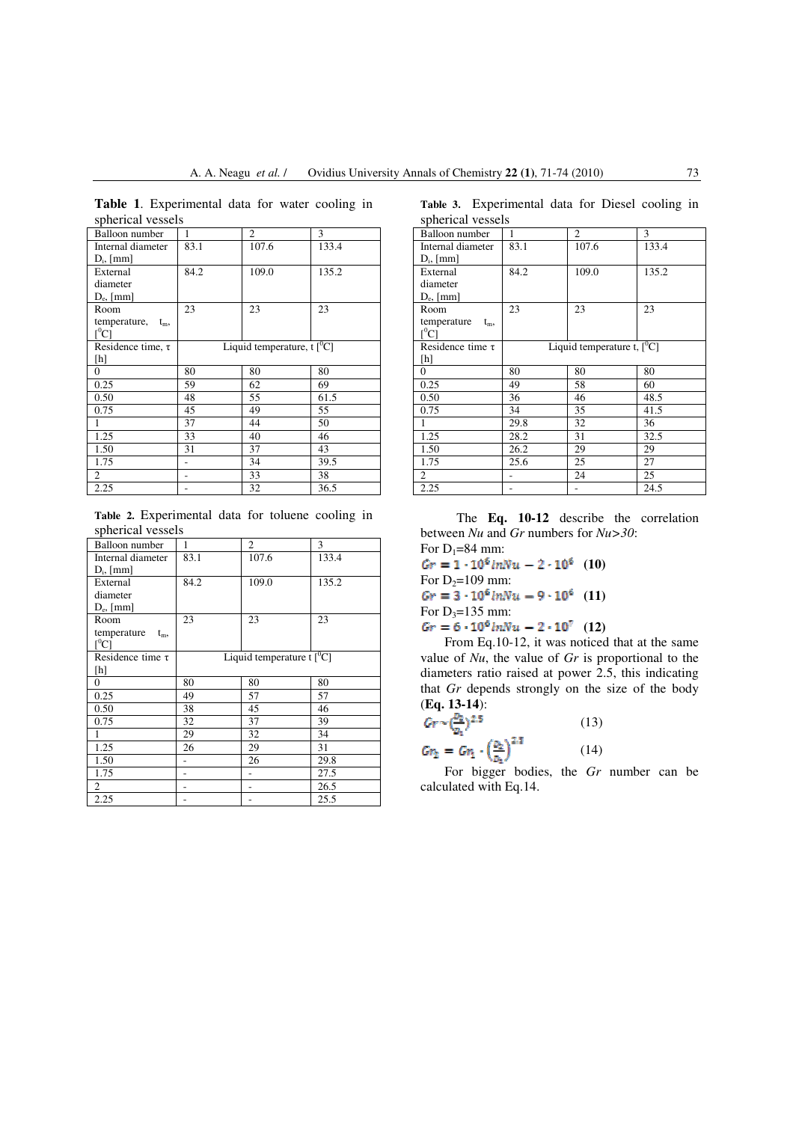| spherical vessels       |                                         |       |       |  |  |
|-------------------------|-----------------------------------------|-------|-------|--|--|
| <b>Balloon</b> number   | 1                                       | 2     | 3     |  |  |
| Internal diameter       | 83.1                                    | 107.6 | 133.4 |  |  |
| $D_i$ , [mm]            |                                         |       |       |  |  |
| External                | 84.2                                    | 109.0 | 135.2 |  |  |
| diameter                |                                         |       |       |  |  |
| $D_e$ , [mm]            |                                         |       |       |  |  |
| Room                    | 23                                      | 23    | 23    |  |  |
| temperature,<br>$t_{m}$ |                                         |       |       |  |  |
| $\rm I^{0}Cl$           |                                         |       |       |  |  |
| Residence time, $\tau$  | Liquid temperature, t $\lceil^0C\rceil$ |       |       |  |  |
| [h]                     |                                         |       |       |  |  |
| 0                       | 80                                      | 80    | 80    |  |  |
| 0.25                    | 59                                      | 62    | 69    |  |  |
| 0.50                    | 48                                      | 55    | 61.5  |  |  |
| 0.75                    | 45                                      | 49    | 55    |  |  |
|                         | 37                                      | 44    | 50    |  |  |
| 1.25                    | 33                                      | 40    | 46    |  |  |
| 1.50                    | 31                                      | 37    | 43    |  |  |
| 1.75                    |                                         | 34    | 39.5  |  |  |
| 2                       |                                         | 33    | 38    |  |  |
| 2.25                    |                                         | 32    | 36.5  |  |  |

**Table 1**. Experimental data for water cooling in spherical vessels

**Table 2.** Experimental data for toluene cooling in spherical vessels

| Balloon number        | 1                             | $\overline{c}$ | 3     |  |
|-----------------------|-------------------------------|----------------|-------|--|
| Internal diameter     | 83.1                          | 107.6          | 133.4 |  |
| $D_i$ , [mm]          |                               |                |       |  |
| External              | 84.2                          | 109.0          | 135.2 |  |
| diameter              |                               |                |       |  |
| $D_e$ , [mm]          |                               |                |       |  |
| Room                  | 23                            | 23             | 23    |  |
| temperature $t_m$ ,   |                               |                |       |  |
| $[{}^{0}C]$           |                               |                |       |  |
| Residence time $\tau$ | Liquid temperature $t[^{0}C]$ |                |       |  |
| [h]                   |                               |                |       |  |
| $\mathbf{0}$          | 80                            | 80             | 80    |  |
| 0.25                  | 49                            | 57             | 57    |  |
| 0.50                  | 38                            | 45             | 46    |  |
| 0.75                  | 32                            | 37             | 39    |  |
|                       | 29                            | 32             | 34    |  |
| 1.25                  | 26                            | 29             | 31    |  |
| 1.50                  |                               | 26             | 29.8  |  |
| 1.75                  |                               |                | 27.5  |  |
| 2                     |                               |                | 26.5  |  |
| 2.25                  |                               |                | 25.5  |  |

**Table 3.** Experimental data for Diesel cooling in spherical vessels

| SPIIULUAI VUSSUIS                     |                              |       |       |  |  |  |
|---------------------------------------|------------------------------|-------|-------|--|--|--|
| Balloon number                        | 1                            | 2     | 3     |  |  |  |
| Internal diameter                     | 83.1                         | 107.6 | 133.4 |  |  |  |
| $D_i$ , [mm]                          |                              |       |       |  |  |  |
| External                              | 84.2                         | 109.0 | 135.2 |  |  |  |
| diameter                              |                              |       |       |  |  |  |
| $D_e$ , [mm]                          |                              |       |       |  |  |  |
| Room                                  | 23                           | 23    | 23    |  |  |  |
| temperature<br>$t_{m}$<br>$\rm l^0Cl$ |                              |       |       |  |  |  |
| Residence time $\tau$                 | Liquid temperature t, $[°C]$ |       |       |  |  |  |
| [h]                                   |                              |       |       |  |  |  |
| 0                                     | 80                           | 80    | 80    |  |  |  |
| 0.25                                  | 49                           | 58    | 60    |  |  |  |
| 0.50                                  | 36                           | 46    | 48.5  |  |  |  |
| 0.75                                  | 34                           | 35    | 41.5  |  |  |  |
| 1                                     | 29.8                         | 32    | 36    |  |  |  |
| 1.25                                  | 28.2                         | 31    | 32.5  |  |  |  |
| 1.50                                  | 26.2                         | 29    | 29    |  |  |  |
| 1.75                                  | 25.6                         | 25    | 27    |  |  |  |
| 2                                     |                              | 24    | 25    |  |  |  |
| 2.25                                  |                              |       | 24.5  |  |  |  |

The **Eq. 10-12** describe the correlation between *Nu* and *Gr* numbers for *Nu>30*: For  $D_1=84$  mm:

 $Gr = 1 \cdot 10^6$  in Nu  $- 2 \cdot 10^6$  (10) For  $D_2=109$  mm:  $Gr = 3 \cdot 10^6$  lnNu  $- 9 \cdot 10^6$  (11) For  $D_3=135$  mm:

 $Gr = 6 \cdot 10^6$  knNu  $- 2 \cdot 10^7$  (12)

From Eq.10-12, it was noticed that at the same value of *Nu*, the value of *Gr* is proportional to the diameters ratio raised at power 2.5, this indicating that *Gr* depends strongly on the size of the body (**Eq. 13-14**):

$$
Gr \sim \left(\frac{P_2}{D_1}\right)^{2.5}
$$
\n
$$
Gr_2 = Gr_1 \cdot \left(\frac{D_2}{D_3}\right)^{2.5}
$$
\n(13)\n(14)

For bigger bodies, the *Gr* number can be calculated with Eq.14.